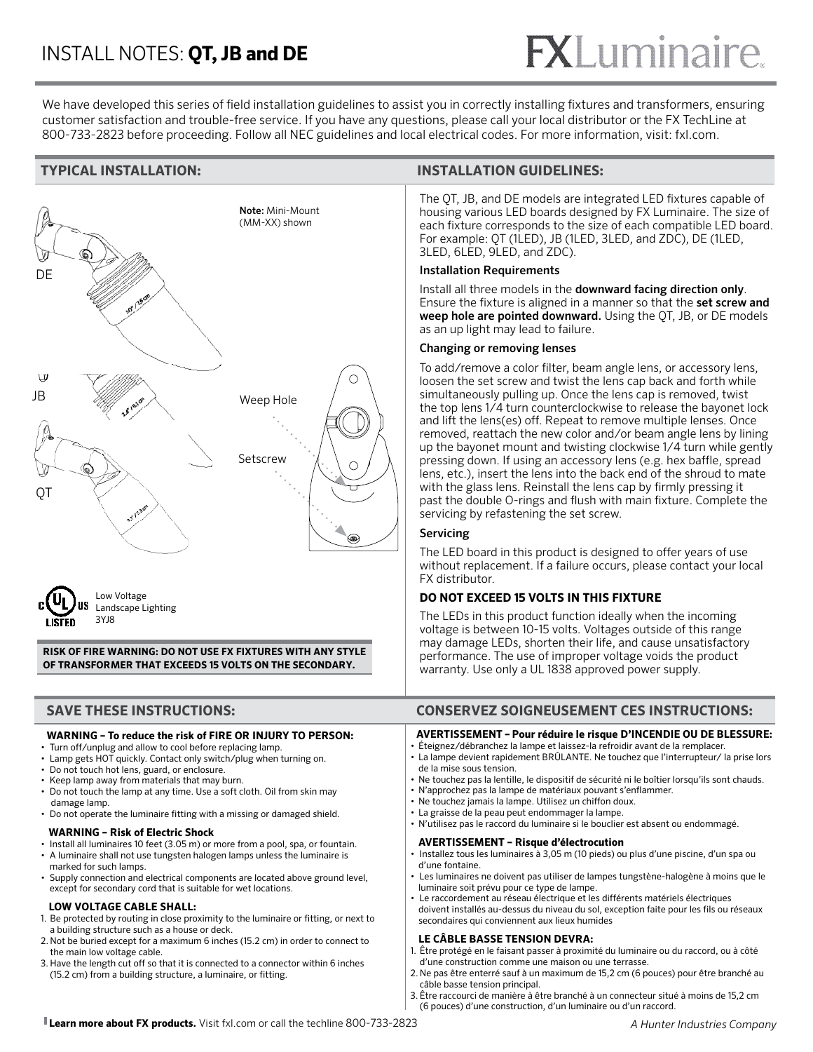# **FXLuminaire.**

We have developed this series of field installation guidelines to assist you in correctly installing fixtures and transformers, ensuring customer satisfaction and trouble-free service. If you have any questions, please call your local distributor or the FX TechLine at 800-733-2823 before proceeding. Follow all NEC guidelines and local electrical codes. For more information, visit: fxl.com.





**RISK OF FIRE WARNING: DO NOT USE FX FIXTURES WITH ANY STYLE OF TRANSFORMER THAT EXCEEDS 15 VOLTS ON THE SECONDARY.** 

# **SAVE THESE INSTRUCTIONS:**

#### **WARNING – To reduce the risk of FIRE OR INJURY TO PERSON:**

- Turn off/unplug and allow to cool before replacing lamp.
- Lamp gets HOT quickly. Contact only switch/plug when turning on.
- Do not touch hot lens, guard, or enclosure.
- Keep lamp away from materials that may burn. • Do not touch the lamp at any time. Use a soft cloth. Oil from skin may damage lamp.
- Do not operate the luminaire fitting with a missing or damaged shield.

#### **WARNING – Risk of Electric Shock**

- Install all luminaires 10 feet (3.05 m) or more from a pool, spa, or fountain.
- A luminaire shall not use tungsten halogen lamps unless the luminaire is marked for such lamps.
- Supply connection and electrical components are located above ground level, except for secondary cord that is suitable for wet locations.

#### **LOW VOLTAGE CABLE SHALL:**

- 1. Be protected by routing in close proximity to the luminaire or fitting, or next to a building structure such as a house or deck.
- 2. Not be buried except for a maximum 6 inches (15.2 cm) in order to connect to the main low voltage cable.
- 3. Have the length cut off so that it is connected to a connector within 6 inches (15.2 cm) from a building structure, a luminaire, or fitting.

# **TYPICAL INSTALLATION: INSTALLATION GUIDELINES:**

The QT, JB, and DE models are integrated LED fixtures capable of housing various LED boards designed by FX Luminaire. The size of each fixture corresponds to the size of each compatible LED board. For example: QT (1LED), JB (1LED, 3LED, and ZDC), DE (1LED, 3LED, 6LED, 9LED, and ZDC).

#### Installation Requirements

Install all three models in the downward facing direction only. Ensure the fixture is aligned in a manner so that the set screw and weep hole are pointed downward. Using the QT, JB, or DE models as an up light may lead to failure.

#### Changing or removing lenses

To add/remove a color filter, beam angle lens, or accessory lens, loosen the set screw and twist the lens cap back and forth while simultaneously pulling up. Once the lens cap is removed, twist the top lens 1/4 turn counterclockwise to release the bayonet lock and lift the lens(es) off. Repeat to remove multiple lenses. Once removed, reattach the new color and/or beam angle lens by lining up the bayonet mount and twisting clockwise 1/4 turn while gently pressing down. If using an accessory lens (e.g. hex baffle, spread lens, etc.), insert the lens into the back end of the shroud to mate with the glass lens. Reinstall the lens cap by firmly pressing it past the double O-rings and flush with main fixture. Complete the servicing by refastening the set screw.

#### Servicing

The LED board in this product is designed to offer years of use without replacement. If a failure occurs, please contact your local FX distributor.

# **DO NOT EXCEED 15 VOLTS IN THIS FIXTURE**

The LEDs in this product function ideally when the incoming voltage is between 10-15 volts. Voltages outside of this range may damage LEDs, shorten their life, and cause unsatisfactory performance. The use of improper voltage voids the product warranty. Use only a UL 1838 approved power supply.

| CONSERVEZ SOIGNEUSEMENT CES INSTRUCTIONS: |  |  |
|-------------------------------------------|--|--|
|                                           |  |  |

### **AVERTISSEMENT – Pour réduire le risque D'INCENDIE OU DE BLESSURE:**

- Éteignez/débranchez la lampe et laissez-la refroidir avant de la remplacer.
- La lampe devient rapidement BRÛLANTE. Ne touchez que l'interrupteur/ la prise lors de la mise sous tension.
- Ne touchez pas la lentille, le dispositif de sécurité ni le boîtier lorsqu'ils sont chauds.
- N'approchez pas la lampe de matériaux pouvant s'enflammer.
- Ne touchez jamais la lampe. Utilisez un chiffon doux.
- La graisse de la peau peut endommager la lampe.

### • N'utilisez pas le raccord du luminaire si le bouclier est absent ou endommagé.

#### **AVERTISSEMENT – Risque d'électrocution**

- Installez tous les luminaires à 3,05 m (10 pieds) ou plus d'une piscine, d'un spa ou d'une fontaine.
- Les luminaires ne doivent pas utiliser de lampes tungstène-halogène à moins que le luminaire soit prévu pour ce type de lampe.
- Le raccordement au réseau électrique et les différents matériels électriques doivent installés au-dessus du niveau du sol, exception faite pour les fils ou réseaux secondaires qui conviennent aux lieux humides

#### **LE CÂBLE BASSE TENSION DEVRA:**

- 1. Être protégé en le faisant passer à proximité du luminaire ou du raccord, ou à côté d'une construction comme une maison ou une terrasse.
- 2. Ne pas être enterré sauf à un maximum de 15,2 cm (6 pouces) pour être branché au câble basse tension principal.
- 3. Être raccourci de manière à être branché à un connecteur situé à moins de 15,2 cm (6 pouces) d'une construction, d'un luminaire ou d'un raccord.